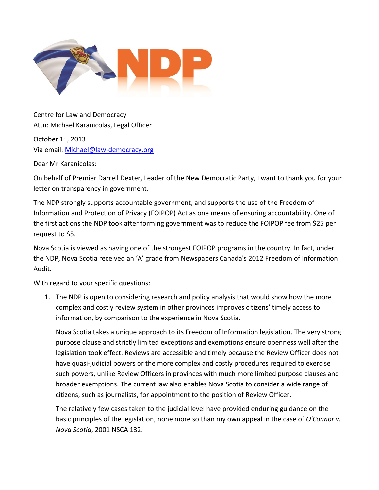

Centre for Law and Democracy Attn: Michael Karanicolas, Legal Officer

October 1st, 2013 Via email: [Michael@law-democracy.org](mailto:Michael@law-democracy.org)

Dear Mr Karanicolas:

On behalf of Premier Darrell Dexter, Leader of the New Democratic Party, I want to thank you for your letter on transparency in government.

The NDP strongly supports accountable government, and supports the use of the Freedom of Information and Protection of Privacy (FOIPOP) Act as one means of ensuring accountability. One of the first actions the NDP took after forming government was to reduce the FOIPOP fee from \$25 per request to \$5.

Nova Scotia is viewed as having one of the strongest FOIPOP programs in the country. In fact, under the NDP, Nova Scotia received an 'A' grade from Newspapers Canada's 2012 Freedom [of Information](http://nouveau.newscan.com/WebPages/Document.aspx?Event=ViewDoc&DocName=news%c2%b720121001%c2%b7CNE%c2%b7013&TypeDoc=NEWS) [Audit.](http://nouveau.newscan.com/WebPages/Document.aspx?Event=ViewDoc&DocName=news%c2%b720121001%c2%b7CNE%c2%b7013&TypeDoc=NEWS)

With regard to your specific questions:

1. The NDP is open to considering research and policy analysis that would show how the more complex and costly review system in other provinces improves citizens' timely access to information, by comparison to the experience in Nova Scotia.

Nova Scotia takes a unique approach to its Freedom of Information legislation. The very strong purpose clause and strictly limited exceptions and exemptions ensure openness well after the legislation took effect. Reviews are accessible and timely because the Review Officer does not have quasi-judicial powers or the more complex and costly procedures required to exercise such powers, unlike Review Officers in provinces with much more limited purpose clauses and broader exemptions. The current law also enables Nova Scotia to consider a wide range of citizens, such as journalists, for appointment to the position of Review Officer.

The relatively few cases taken to the judicial level have provided enduring guidance on the basic principles of the legislation, none more so than my own appeal in the case of *O'Connor v. Nova Scotia*, 2001 NSCA 132.